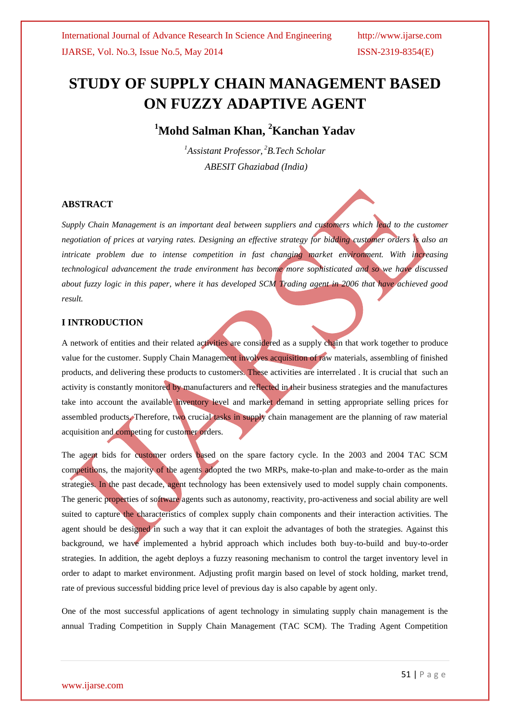# **STUDY OF SUPPLY CHAIN MANAGEMENT BASED ON FUZZY ADAPTIVE AGENT**

**<sup>1</sup>Mohd Salman Khan, <sup>2</sup>Kanchan Yadav**

*<sup>1</sup>Assistant Professor, <sup>2</sup>B.Tech Scholar ABESIT Ghaziabad (India)*

#### **ABSTRACT**

*Supply Chain Management is an important deal between suppliers and customers which lead to the customer negotiation of prices at varying rates. Designing an effective strategy for bidding customer orders is also an intricate problem due to intense competition in fast changing market environment. With increasing technological advancement the trade environment has become more sophisticated and so we have discussed about fuzzy logic in this paper, where it has developed SCM Trading agent in 2006 that have achieved good result.*

#### **I INTRODUCTION**

A network of entities and their related activities are considered as a supply chain that work together to produce value for the customer. Supply Chain Management involves acquisition of raw materials, assembling of finished products, and delivering these products to customers. These activities are interrelated . It is crucial that such an activity is constantly monitored by manufacturers and reflected in their business strategies and the manufactures take into account the available inventory level and market demand in setting appropriate selling prices for assembled products. Therefore, two crucial tasks in supply chain management are the planning of raw material acquisition and competing for customer orders.

The agent bids for customer orders based on the spare factory cycle. In the 2003 and 2004 TAC SCM competitions, the majority of the agents adopted the two MRPs, make-to-plan and make-to-order as the main strategies. In the past decade, agent technology has been extensively used to model supply chain components. The generic properties of software agents such as autonomy, reactivity, pro-activeness and social ability are well suited to capture the characteristics of complex supply chain components and their interaction activities. The agent should be designed in such a way that it can exploit the advantages of both the strategies. Against this background, we have implemented a hybrid approach which includes both buy-to-build and buy-to-order strategies. In addition, the agebt deploys a fuzzy reasoning mechanism to control the target inventory level in order to adapt to market environment. Adjusting profit margin based on level of stock holding, market trend, rate of previous successful bidding price level of previous day is also capable by agent only.

One of the most successful applications of agent technology in simulating supply chain management is the annual Trading Competition in Supply Chain Management (TAC SCM). The Trading Agent Competition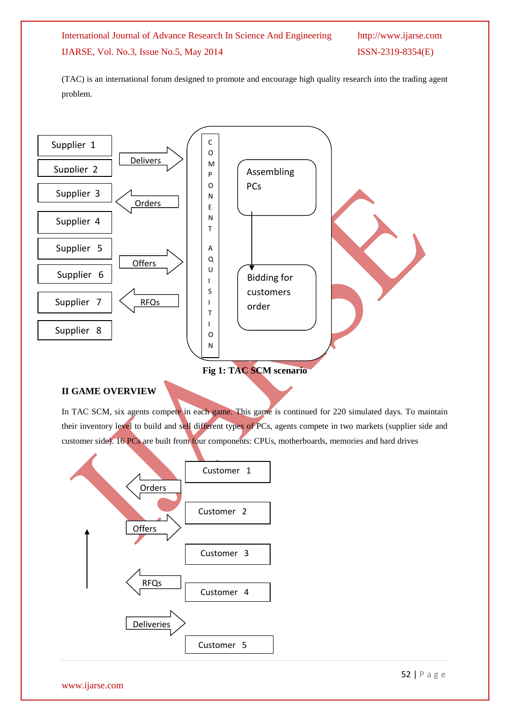(TAC) is an international forum designed to promote and encourage high quality research into the trading agent problem.



## **II GAME OVERVIEW**

In TAC SCM, six agents compete in each game. This game is continued for 220 simulated days. To maintain their inventory level to build and sell different types of PCs, agents compete in two markets (supplier side and customer side). 16 PCs are built from four components: CPUs, motherboards, memories and hard drives

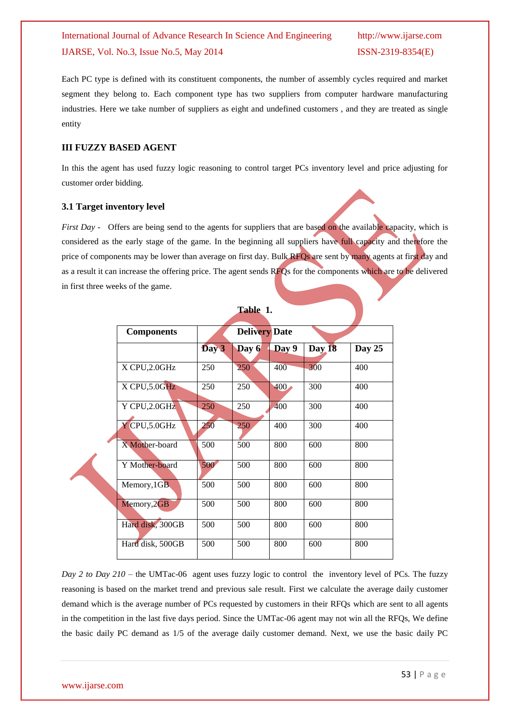Each PC type is defined with its constituent components, the number of assembly cycles required and market segment they belong to. Each component type has two suppliers from computer hardware manufacturing industries. Here we take number of suppliers as eight and undefined customers , and they are treated as single entity

#### **III FUZZY BASED AGENT**

In this the agent has used fuzzy logic reasoning to control target PCs inventory level and price adjusting for customer order bidding.

#### **3.1 Target inventory level**

*First Day* - Offers are being send to the agents for suppliers that are based on the available capacity, which is considered as the early stage of the game. In the beginning all suppliers have full capacity and therefore the price of components may be lower than average on first day. Bulk RFQs are sent by many agents at first day and as a result it can increase the offering price. The agent sends RFQs for the components which are to be delivered in first three weeks of the game.

**Table 1.**

| <b>Components</b> |       | <b>Delivery Date</b> |       |        |        |
|-------------------|-------|----------------------|-------|--------|--------|
|                   | Day 3 | Day 6                | Day 9 | Day 18 | Day 25 |
| X CPU, 2.0GHz     | 250   | 250                  | 400   | 300    | 400    |
| X CPU, 5.0GHz     | 250   | 250                  | 400   | 300    | 400    |
| Y CPU, 2.0GHz     | 250   | 250                  | 400   | 300    | 400    |
| Y CPU,5.0GHz      | 250   | 250                  | 400   | 300    | 400    |
| X Mother-board    | 500   | 500                  | 800   | 600    | 800    |
| Y Mother-board    | 500   | 500                  | 800   | 600    | 800    |
| Memory, 1GB       | 500   | 500                  | 800   | 600    | 800    |
| Memory, 2GB       | 500   | 500                  | 800   | 600    | 800    |
| Hard disk, 300GB  | 500   | 500                  | 800   | 600    | 800    |
| Hard disk, 500GB  | 500   | 500                  | 800   | 600    | 800    |

## *Day 2 to Day 210 –* the UMTac-06 agent uses fuzzy logic to control the inventory level of PCs. The fuzzy reasoning is based on the market trend and previous sale result. First we calculate the average daily customer demand which is the average number of PCs requested by customers in their RFQs which are sent to all agents in the competition in the last five days period. Since the UMTac-06 agent may not win all the RFQs, We define the basic daily PC demand as 1/5 of the average daily customer demand. Next, we use the basic daily PC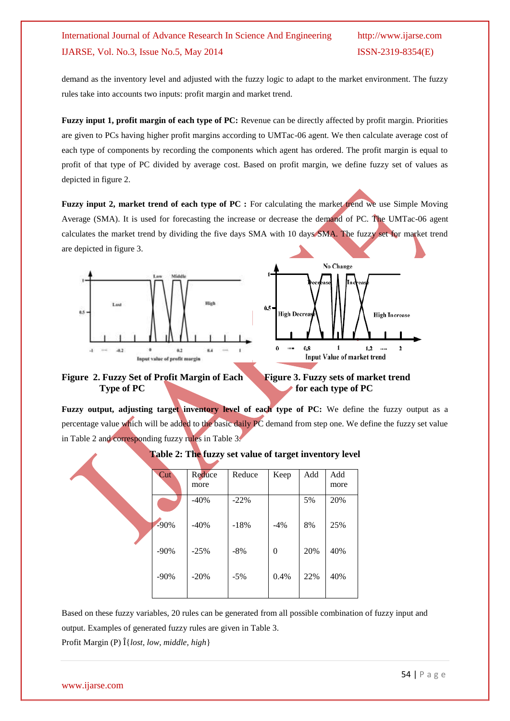demand as the inventory level and adjusted with the fuzzy logic to adapt to the market environment. The fuzzy rules take into accounts two inputs: profit margin and market trend.

**Fuzzy input 1, profit margin of each type of PC:** Revenue can be directly affected by profit margin. Priorities are given to PCs having higher profit margins according to UMTac-06 agent. We then calculate average cost of each type of components by recording the components which agent has ordered. The profit margin is equal to profit of that type of PC divided by average cost. Based on profit margin, we define fuzzy set of values as depicted in figure 2.

**Fuzzy input 2, market trend of each type of PC :** For calculating the market trend we use Simple Moving Average (SMA). It is used for forecasting the increase or decrease the demand of PC. The UMTac-06 agent calculates the market trend by dividing the five days SMA with 10 days SMA. The fuzzy set for market trend are depicted in figure 3.





Figure 2. Fuzzy Set of Profit Margin of Each Figure 3. Fuzzy sets of market trend **Type of PC** for each type of PC



**Fuzzy output, adjusting target inventory level of each type of PC:** We define the fuzzy output as a percentage value which will be added to the basic daily PC demand from step one. We define the fuzzy set value in Table 2 and corresponding fuzzy rules in Table 3.



| <b>Cut</b> | Reduce | Reduce | Keep     | Add | Add  |
|------------|--------|--------|----------|-----|------|
|            | more   |        |          |     | more |
|            | $-40%$ | $-22%$ |          | 5%  | 20%  |
| $-90%$     | $-40%$ | $-18%$ | $-4%$    | 8%  | 25%  |
| $-90%$     | $-25%$ | $-8%$  | $\theta$ | 20% | 40%  |
| $-90%$     | $-20%$ | $-5%$  | 0.4%     | 22% | 40%  |
|            |        |        |          |     |      |

Based on these fuzzy variables, 20 rules can be generated from all possible combination of fuzzy input and output. Examples of generated fuzzy rules are given in Table 3.

Profit Margin (P) Î{*lost, low, middle, high*}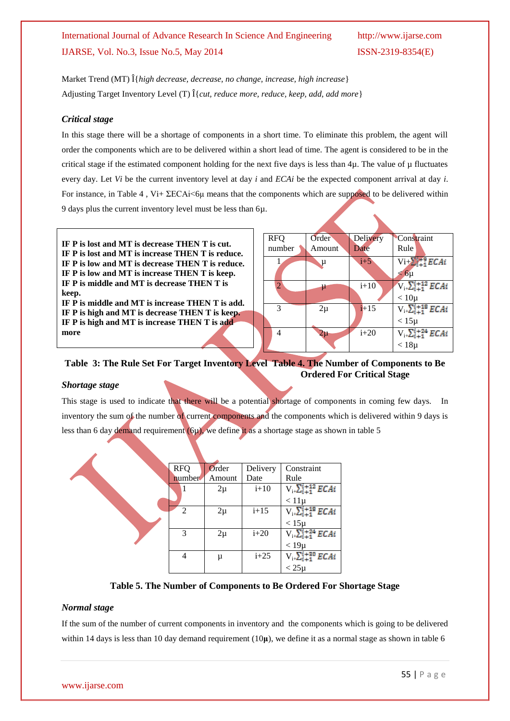Market Trend (MT) Î{*high decrease, decrease, no change, increase, high increase*} Adjusting Target Inventory Level (T) Î{*cut, reduce more, reduce, keep, add, add more*}

#### *Critical stage*

In this stage there will be a shortage of components in a short time. To eliminate this problem, the agent will order the components which are to be delivered within a short lead of time. The agent is considered to be in the critical stage if the estimated component holding for the next five days is less than 4µ. The value of µ fluctuates every day. Let *Vi* be the current inventory level at day *i* and *ECAi* be the expected component arrival at day *i*. For instance, in Table 4 , Vi+ ΣECAi<6μ means that the components which are supposed to be delivered within 9 days plus the current inventory level must be less than 6µ.

**IF P is lost and MT is decrease THEN T is cut. IF P is lost and MT is increase THEN T is reduce. IF P is low and MT is decrease THEN T is reduce. IF P is low and MT is increase THEN T is keep. IF P is middle and MT is decrease THEN T is keep. IF P is middle and MT is increase THEN T is add. IF P is high and MT is decrease THEN T is keep. IF P is high and MT is increase THEN T is add more**

| <b>RFQ</b>     | Order  | Delivery | Constraint                       |
|----------------|--------|----------|----------------------------------|
| number         | Amount | Date     | Rule                             |
|                | μ      | $i+5$    | $Vi + \sum_{i=1}^{M+2} ECAi$     |
|                |        |          | $< 6 \mu$                        |
| $\overline{2}$ | μ      | $i+10$   | $V_{i+}\Sigma_{i+1}^{i+12}$ ECAi |
|                |        |          | $< 10\mu$                        |
| $\mathcal{R}$  | $2\mu$ | $i+15$   | $V_{i+}\sum_{i=1}^{i+18} ECAi$   |
|                |        |          | $< 15 \mu$                       |
| 4              | $2\mu$ | $i+20$   | $V_{i+}\Sigma_{i+1}^{i+24}$ ECAi |
|                |        |          | $< 18 \mu$                       |

### **Table 3: The Rule Set For Target Inventory Level Table 4. The Number of Components to Be Ordered For Critical Stage**

#### *Shortage stage*

This stage is used to indicate that there will be a potential shortage of components in coming few days. In inventory the sum of the number of current components and the components which is delivered within 9 days is less than 6 day demand requirement  $(6\mu)$ , we define it as a shortage stage as shown in table 5

| <b>RFQ</b> | Order  | Delivery | Constraint                     |
|------------|--------|----------|--------------------------------|
| number     | Amount | Date     | Rule                           |
|            | $2\mu$ | $i+10$   | $V_{i+}\sum_{i=1}^{i+12} ECAi$ |
|            |        |          | $< 11 \mu$                     |
|            | $2\mu$ | $i+15$   | $V_{i+}\sum_{i=1}^{i+18} ECAi$ |
|            |        |          | $< 15 \mu$                     |
| 3          | $2\mu$ | $i+20$   | $V_{i+}\sum_{i=1}^{i+24} ECAi$ |
|            |        |          | $< 19\mu$                      |
| 4          | μ      | $i+25$   | $V_{i+}\sum_{i=1}^{i+30} ECAi$ |
|            |        |          | $< 25 \mu$                     |

#### **Table 5. The Number of Components to Be Ordered For Shortage Stage**

#### *Normal stage*

If the sum of the number of current components in inventory and the components which is going to be delivered within 14 days is less than 10 day demand requirement (10**μ**), we define it as a normal stage as shown in table 6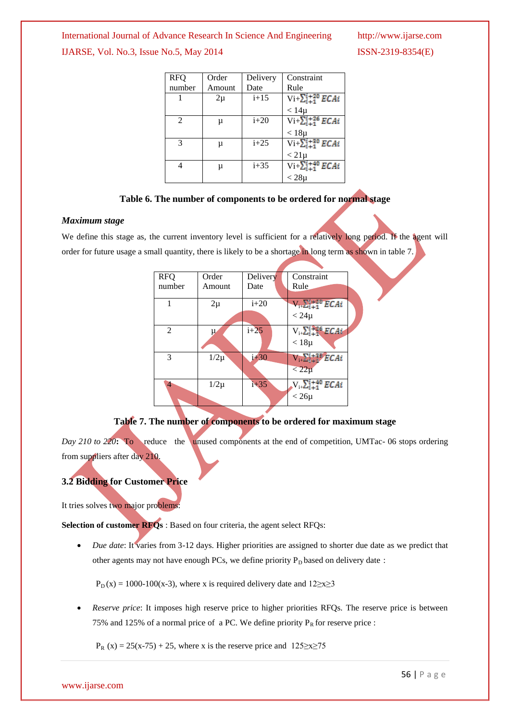| <b>RFQ</b>    | Order  | Delivery | Constraint                                    |
|---------------|--------|----------|-----------------------------------------------|
| number        | Amount | Date     | Rule                                          |
|               | $2\mu$ | $i+15$   | $Vi + \sum_{i=1}^{i+20} ECAi$                 |
|               |        |          | $< 14\mu$                                     |
| 2             | μ      | $i+20$   | $Vi + \sum_{i=1}^{i+26} ECAi$                 |
|               |        |          | $< 18 \mu$                                    |
| $\mathcal{R}$ | μ      | $i+25$   | $\overline{\text{Vi+}\sum_{i+1}^{i+30} ECAi}$ |
|               |        |          | $< 21 \mu$                                    |
| 4             | μ      | $i + 35$ | $Vi + \sum_{i=1}^{i+40} ECAi$                 |
|               |        |          | $< 28 \mu$                                    |

#### **Table 6. The number of components to be ordered for normal stage**

#### *Maximum stage*

We define this stage as, the current inventory level is sufficient for a relatively long period. If the agent will order for future usage a small quantity, there is likely to be a shortage in long term as shown in table 7.

| <b>RFO</b>     | Order    | Delivery | Constraint                       |
|----------------|----------|----------|----------------------------------|
| number         | Amount   | Date     | Rule                             |
|                |          |          |                                  |
|                | $2\mu$   | $i+20$   | $V_{i+}\Sigma_{i+1}^{i+20}$ ECAi |
|                |          |          | $< 24\mu$                        |
| $\mathfrak{D}$ | μ        | $i+25$   | $V_{i+}\sum_{i=1}^{1+26} ECAi$   |
|                |          |          | $< 18 \mu$                       |
| 3              | $1/2\mu$ | $i + 30$ | $V_{i+}\Sigma_{i+1}^{1+28}ECAi$  |
|                |          |          | $\langle 22\mu$                  |
| 4              | $1/2\mu$ | $i + 35$ | $V_{i+}\sum_{i+1}^{i+40} ECAi$   |
|                |          |          | $< 26 \mu$                       |

#### **Table 7. The number of components to be ordered for maximum stage**

*Day 210 to 220***:** To reduce the unused components at the end of competition, UMTac- 06 stops ordering from suppliers after day 210.

#### **3.2 Bidding for Customer Price**

It tries solves two major problems:

**Selection of customer RFQs** : Based on four criteria, the agent select RFQs:

 *Due date*: It varies from 3-12 days. Higher priorities are assigned to shorter due date as we predict that other agents may not have enough PCs, we define priority  $P_D$  based on delivery date :

 $P_D(x) = 1000-100(x-3)$ , where x is required delivery date and  $12\geq x\geq 3$ 

 *Reserve price*: It imposes high reserve price to higher priorities RFQs. The reserve price is between 75% and 125% of a normal price of a PC. We define priority  $P_R$  for reserve price :

 $P_R(x) = 25(x-75) + 25$ , where x is the reserve price and  $125\ge x\ge 75$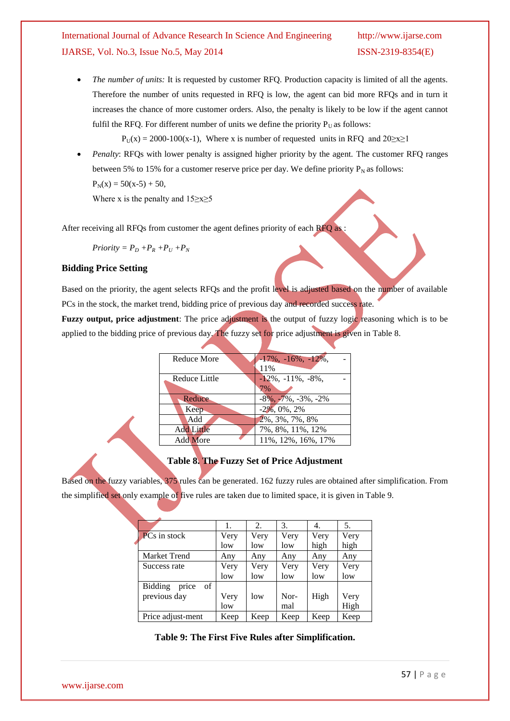*The number of units:* It is requested by customer RFQ. Production capacity is limited of all the agents. Therefore the number of units requested in RFQ is low, the agent can bid more RFQs and in turn it increases the chance of more customer orders. Also, the penalty is likely to be low if the agent cannot fulfil the RFQ. For different number of units we define the priority  $P_U$  as follows:

 $P_U(x) = 2000-100(x-1)$ , Where x is number of requested units in RFQ and  $20 \ge x \ge 1$ 

*Penalty*: RFQs with lower penalty is assigned higher priority by the agent. The customer RFQ ranges between 5% to 15% for a customer reserve price per day. We define priority  $P_N$  as follows:  $P_N(x) = 50(x-5) + 50$ ,

Where x is the penalty and  $15 \ge x \ge 5$ 

After receiving all RFQs from customer the agent defines priority of each RFQ as :

$$
Priority = P_D + P_R + P_U + P_N
$$

#### **Bidding Price Setting**

Based on the priority, the agent selects RFQs and the profit level is adjusted based on the number of available PCs in the stock, the market trend, bidding price of previous day and recorded success rate.

**Fuzzy output, price adjustment**: The price adjustment is the output of fuzzy logic reasoning which is to be applied to the bidding price of previous day. The fuzzy set for price adjustment is given in Table 8.

| Reduce More       | $-17\%, -16\%, -12\%,$   |
|-------------------|--------------------------|
|                   | 11%                      |
| Reduce Little     | $-12\%, -11\%, -8\%,$    |
|                   | 7%                       |
| Reduce            | $-8\%, -7\%, -3\%, -2\%$ |
| Keep              | $-2\%, 0\%, 2\%$         |
| Add               | 2%, 3%, 7%, 8%           |
| <b>Add Little</b> | 7%, 8%, 11%, 12%         |
| <b>Add More</b>   | 11%, 12%, 16%, 17%       |

#### **Table 8. The Fuzzy Set of Price Adjustment**

Based on the fuzzy variables, 375 rules can be generated. 162 fuzzy rules are obtained after simplification. From the simplified set only example of five rules are taken due to limited space, it is given in Table 9.

|                               | 1.   | 2.   | 3.   | 4.   | 5.   |
|-------------------------------|------|------|------|------|------|
| <b>PCs</b> in stock           | Very | Very | Very | Very | Very |
|                               | low  | low  | low  | high | high |
| Market Trend                  | Any  | Any  | Any  | Any  | Any  |
| Success rate                  | Very | Very | Very | Very | Very |
|                               | low  | low  | low  | low  | low  |
| price<br><b>Bidding</b><br>of |      |      |      |      |      |
| previous day                  | Very | low  | Nor- | High | Very |
|                               | low  |      | mal  |      | High |
| Price adjust-ment             | Keep | Keep | Keep | Keep | Keep |

**Table 9: The First Five Rules after Simplification.**

www.ijarse.com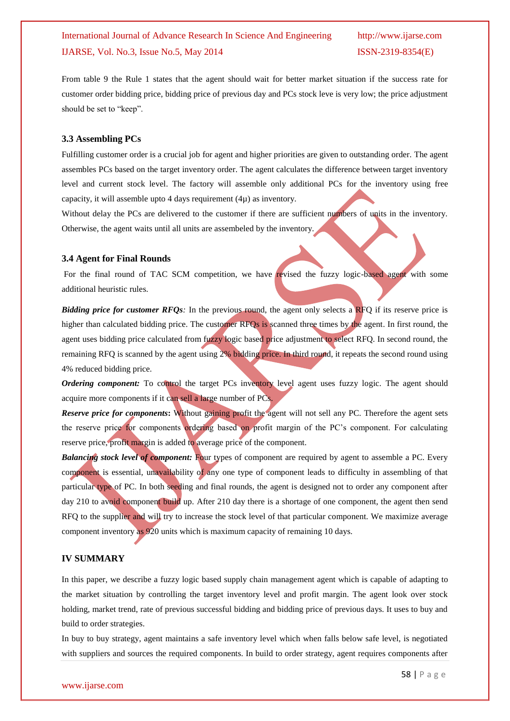From table 9 the Rule 1 states that the agent should wait for better market situation if the success rate for customer order bidding price, bidding price of previous day and PCs stock leve is very low; the price adjustment should be set to "keep".

#### **3.3 Assembling PCs**

Fulfilling customer order is a crucial job for agent and higher priorities are given to outstanding order. The agent assembles PCs based on the target inventory order. The agent calculates the difference between target inventory level and current stock level. The factory will assemble only additional PCs for the inventory using free capacity, it will assemble upto 4 days requirement  $(4\mu)$  as inventory.

Without delay the PCs are delivered to the customer if there are sufficient numbers of units in the inventory. Otherwise, the agent waits until all units are assembeled by the inventory.

#### **3.4 Agent for Final Rounds**

For the final round of TAC SCM competition, we have revised the fuzzy logic-based agent with some additional heuristic rules.

*Bidding price for customer RFQs*: In the previous round, the agent only selects a RFQ if its reserve price is higher than calculated bidding price. The customer RFQs is scanned three times by the agent. In first round, the agent uses bidding price calculated from fuzzy logic based price adjustment to select RFQ. In second round, the remaining RFQ is scanned by the agent using 2% bidding price. In third round, it repeats the second round using 4% reduced bidding price.

*Ordering component:* To control the target PCs inventory level agent uses fuzzy logic. The agent should acquire more components if it can sell a large number of PCs.

*Reserve price for components***:** Without gaining profit the agent will not sell any PC. Therefore the agent sets the reserve price for components ordering based on profit margin of the PC's component. For calculating reserve price, profit margin is added to average price of the component.

*Balancing stock level of component:* Four types of component are required by agent to assemble a PC. Every component is essential, unavailability of any one type of component leads to difficulty in assembling of that particular type of PC. In both seeding and final rounds, the agent is designed not to order any component after day 210 to avoid component build up. After 210 day there is a shortage of one component, the agent then send RFQ to the supplier and will try to increase the stock level of that particular component. We maximize average component inventory as 920 units which is maximum capacity of remaining 10 days.

#### **IV SUMMARY**

In this paper, we describe a fuzzy logic based supply chain management agent which is capable of adapting to the market situation by controlling the target inventory level and profit margin. The agent look over stock holding, market trend, rate of previous successful bidding and bidding price of previous days. It uses to buy and build to order strategies.

In buy to buy strategy, agent maintains a safe inventory level which when falls below safe level, is negotiated with suppliers and sources the required components. In build to order strategy, agent requires components after